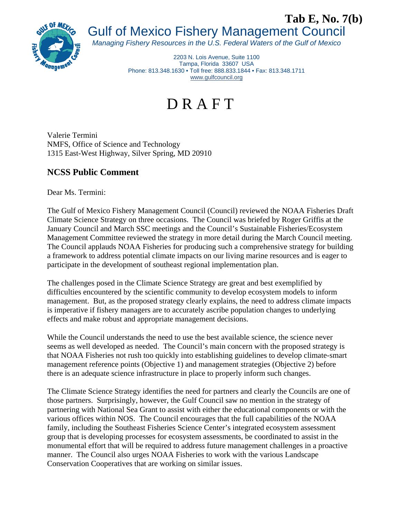

## Gulf of Mexico Fishery Management Council **Tab E, No. 7(b)**

*Managing Fishery Resources in the U.S. Federal Waters of the Gulf of Mexico* 

2203 N. Lois Avenue, Suite 1100 Tampa, Florida 33607 USA Phone: 813.348.1630 • Toll free: 888.833.1844 • Fax: 813.348.1711 www.gulfcouncil.org

## D R A F T

Valerie Termini NMFS, Office of Science and Technology 1315 East-West Highway, Silver Spring, MD 20910

## **NCSS Public Comment**

Dear Ms. Termini:

The Gulf of Mexico Fishery Management Council (Council) reviewed the NOAA Fisheries Draft Climate Science Strategy on three occasions. The Council was briefed by Roger Griffis at the January Council and March SSC meetings and the Council's Sustainable Fisheries/Ecosystem Management Committee reviewed the strategy in more detail during the March Council meeting. The Council applauds NOAA Fisheries for producing such a comprehensive strategy for building a framework to address potential climate impacts on our living marine resources and is eager to participate in the development of southeast regional implementation plan.

The challenges posed in the Climate Science Strategy are great and best exemplified by difficulties encountered by the scientific community to develop ecosystem models to inform management. But, as the proposed strategy clearly explains, the need to address climate impacts is imperative if fishery managers are to accurately ascribe population changes to underlying effects and make robust and appropriate management decisions.

While the Council understands the need to use the best available science, the science never seems as well developed as needed. The Council's main concern with the proposed strategy is that NOAA Fisheries not rush too quickly into establishing guidelines to develop climate-smart management reference points (Objective 1) and management strategies (Objective 2) before there is an adequate science infrastructure in place to properly inform such changes.

The Climate Science Strategy identifies the need for partners and clearly the Councils are one of those partners. Surprisingly, however, the Gulf Council saw no mention in the strategy of partnering with National Sea Grant to assist with either the educational components or with the various offices within NOS. The Council encourages that the full capabilities of the NOAA family, including the Southeast Fisheries Science Center's integrated ecosystem assessment group that is developing processes for ecosystem assessments, be coordinated to assist in the monumental effort that will be required to address future management challenges in a proactive manner. The Council also urges NOAA Fisheries to work with the various Landscape Conservation Cooperatives that are working on similar issues.